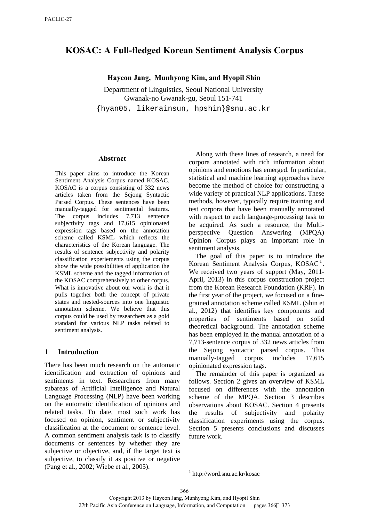# **KOSAC: A Full-fledged Korean Sentiment Analysis Corpus**

### **Hayeon Jang, Munhyong Kim, and Hyopil Shin**

Department of Linguistics, Seoul National University Gwanak-no Gwanak-gu, Seoul 151-741 {hyan05, likerainsun, hpshin}@snu.ac.kr

#### **Abstract**

This paper aims to introduce the Korean Sentiment Analysis Corpus named KOSAC. KOSAC is a corpus consisting of 332 news articles taken from the Sejong Syntactic Parsed Corpus. These sentences have been manually-tagged for sentimental features. The corpus includes 7,713 sentence subjectivity tags and 17,615 opinionated expression tags based on the annotation scheme called KSML which reflects the characteristics of the Korean language. The results of sentence subjectivity and polarity classification experiements using the corpus show the wide possibilities of application the KSML scheme and the tagged information of the KOSAC comprehensively to other corpus. What is innovative about our work is that it pulls together both the concept of private states and nested-sources into one linguistic annotation scheme. We believe that this corpus could be used by researchers as a gold standard for various NLP tasks related to sentiment analysis.

## **1 Introduction**

<span id="page-0-0"></span>There has been much research on the automatic identification and extraction of opinions and sentiments in text. Researchers from many subareas of Artificial Intelligence and Natural Language Processing (NLP) have been working on the automatic identification of opinions and related tasks. To date, most such work has focused on opinion, sentiment or subjectivity classification at the document or sentence level. A common sentiment analysis task is to classify documents or sentences by whether they are subjective or objective, and, if the target text is subjective, to classify it as positive or negative (Pang et al., 2002; Wiebe et al., 2005).

Along with these lines of research, a need for corpora annotated with rich information about opinions and emotions has emerged. In particular, statistical and machine learning approaches have become the method of choice for constructing a wide variety of practical NLP applications. These methods, however, typically require training and test corpora that have been manually annotated with respect to each language-processing task to be acquired. As such a resource, the Multiperspective Question Answering (MPQA) Opinion Corpus plays an important role in sentiment analysis.

The goal of this paper is to introduce the Korean Sentiment Analysis Corpus, KOSAC<sup>[1](#page-0-0)</sup>. We received two years of support (May, 2011- April, 2013) in this corpus construction project from the Korean Research Foundation (KRF). In the first year of the project, we focused on a finegrained annotation scheme called KSML (Shin et al., 2012) that identifies key components and properties of sentiments based on solid theoretical background. The annotation scheme has been employed in the manual annotation of a 7,713-sentence corpus of 332 news articles from the Sejong syntactic parsed corpus. This manually-tagged corpus includes 17,615 opinionated expression tags.

The remainder of this paper is organized as follows. Section 2 gives an overview of KSML focused on differences with the annotation scheme of the MPQA. Section 3 describes observations about KOSAC. Section 4 presents the results of subjectivity and polarity classification experiments using the corpus. Section 5 presents conclusions and discusses future work.

1 http://word.snu.ac.kr/kosac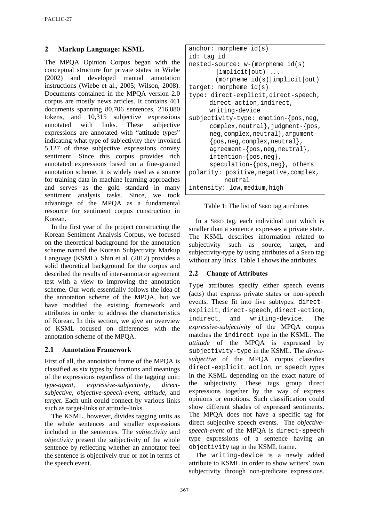## **2 Markup Language: KSML**

The MPQA Opinion Corpus began with the conceptual structure for private states in Wiebe (2002) and developed manual annotation instructions (Wiebe et al., 2005; Wilson, 2008). Documents contained in the MPQA version 2.0 corpus are mostly news articles. It contains 461 documents spanning 80,706 sentences, 216,080 tokens, and 10,315 subjective expressions annotated with links. These subjective expressions are annotated with "attitude types" indicating what type of subjectivity they invoked. 5,127 of these subjective expressions convey sentiment. Since this corpus provides rich annotated expressions based on a fine-grained annotation scheme, it is widely used as a source for training data in machine learning approaches and serves as the gold standard in many sentiment analysis tasks. Since, we took advantage of the MPQA as a fundamental resource for sentiment corpus construction in Korean.

In the first year of the project constructing the Korean Sentiment Analysis Corpus, we focused on the theoretical background for the annotation scheme named the Korean Subjectivity Markup Language (KSML). Shin et al. (2012) provides a solid theoretical background for the corpus and described the results of inter-annotator agreement test with a view to improving the annotation scheme. Our work essentially follows the idea of the annotation scheme of the MPQA, but we have modified the existing framework and attributes in order to address the characteristics of Korean. In this section, we give an overview of KSML focused on differences with the annotation scheme of the MPQA.

## **2.1 Annotation Framework**

First of all, the annotation frame of the MPQA is classified as six types by functions and meanings of the expressions regardless of the tagging unit: *type-agent, expressive-subjectivity, directsubjective, objective-speech-event, attitude*, and *target*. Each unit could connect by various links such as target-links or attitude-links.

The KSML, however, divides tagging units as the whole sentences and smaller expressions included in the sentences. The *subjectivity* and *objectivity* present the subjectivity of the whole sentence by reflecting whether an annotator feel the sentence is objectively true or not in terms of the speech event.

```
anchor: morpheme id(s)
id: tag id
nested-source: w-(morpheme id(s) 
        |implicit|out)-...- 
        (morpheme id(s)|implicit|out)
target: morpheme id(s)
type: direct-explicit,direct-speech, 
      direct-action,indirect, 
      writing-device
subjectivity-type: emotion-{pos,neg,
      complex, neutral }, judgment-{pos,
      neg,complex,neutral},argument- 
      {pos,neg,complex,neutral}, 
      agreement-{pos,neg,neutral}, 
      intention-{pos,neg}, 
      speculation-{pos,neg}, others
polarity: positive, negative, complex,
          neutral
intensity: low,medium,high
```
Table 1: The list of SEED tag attributes

In a SEED tag, each individual unit which is smaller than a sentence expresses a private state. The KSML describes information related to subjectivity such as source, target, and subjectivity-type by using attributes of a SEED tag without any links. Table 1 shows the attributes.

## **2.2 Change of Attributes**

Type attributes specify either speech events (acts) that express private states or non-speech events. These fit into five subtypes: directexplicit, direct-speech, direct-action, indirect, and writing-device. The *expressive-subjectivity* of the MPQA corpus matches the indirect type in the KSML. The *attitude* of the MPQA is expressed by subjectivity-type in the KSML. The *directsubjective* of the MPQA corpus classifies direct-explicit, action, or speech types in the KSML depending on the exact nature of the subjectivity. These tags group direct expressions together by the way of express opinions or emotions. Such classification could show different shades of expressed sentiments. The MPQA does not have a specific tag for direct subjective speech events. The *objectivespeech-event* of the MPQA is direct-speech type expressions of a sentence having an objectivity tag in the KSML frame.

The writing-device is a newly added attribute to KSML in order to show writers' own subjectivity through non-predicate expressions.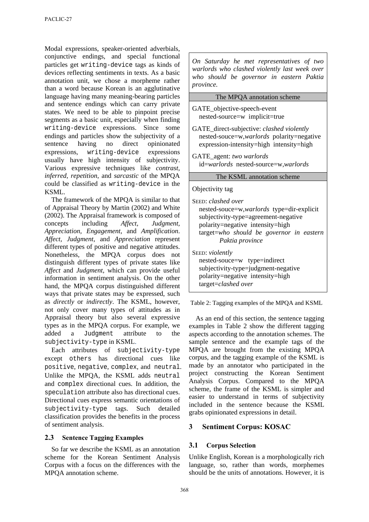Modal expressions, speaker-oriented adverbials, conjunctive endings, and special functional particles get writing-device tags as kinds of devices reflecting sentiments in texts. As a basic annotation unit, we chose a morpheme rather than a word because Korean is an agglutinative language having many meaning-bearing particles and sentence endings which can carry private states. We need to be able to pinpoint precise segments as a basic unit, especially when finding writing-device expressions. Since some endings and particles show the subjectivity of a sentence having no direct opinionated expressions, writing-device expressions usually have high intensity of subjectivity. Various expressive techniques like *contrast, inferred, repetition*, and *sarcastic* of the MPQA could be classified as writing-device in the KSML.

The framework of the MPQA is similar to that of Appraisal Theory by Martin (2002) and White (2002). The Appraisal framework is composed of concepts including *Affect, Judgment, Appreciation, Engagement*, and *Amplification*. *Affect, Judgment*, and *Appreciation* represent different types of positive and negative attitudes. Nonetheless, the MPQA corpus does not distinguish different types of private states like *Affect* and *Judgment*, which can provide useful information in sentiment analysis. On the other hand, the MPQA corpus distinguished different ways that private states may be expressed, such as *directly* or *indirectly*. The KSML, however, not only cover many types of attitudes as in Appraisal theory but also several expressive types as in the MPQA corpus. For example, we added a Judgment attribute to the subjectivity-type in KSML.

Each attributes of subjectivity-type except others has directional cues like positive, negative, complex, and neutral. Unlike the MPQA, the KSML adds neutral and complex directional cues. In addition, the speculation attribute also has directional cues. Directional cues express semantic orientations of subjectivity-type tags. Such detailed classification provides the benefits in the process of sentiment analysis.

## **2.3 Sentence Tagging Examples**

So far we describe the KSML as an annotation scheme for the Korean Sentiment Analysis Corpus with a focus on the differences with the MPQA annotation scheme.

*On Saturday he met representatives of two warlords who clashed violently last week over who should be governor in eastern Paktia province.*

#### The MPQA annotation scheme

- GATE\_objective-speech-event nested-source=w implicit=true
- GATE\_direct-subjective: *clashed violently* nested-souce=w,*warlords* polarity=negative expression-intensity=high intensity=high
- GATE\_agent: *two warlords* id=*warlords* nested-source=w,*warlords*

#### The KSML annotation scheme

#### Objectivity tag

SEED: *clashed over* nested-souce=w,*warlords* type=dir-explicit subjectivity-type=agreement-negative polarity=negative intensity=high target=*who should be governor in eastern Paktia province*

SEED: *violently* nested-souce=w type=indirect subjectivity-type=judgment-negative polarity=negative intensity=high target=*clashed over*

Table 2: Tagging examples of the MPQA and KSML

As an end of this section, the sentence tagging examples in Table 2 show the different tagging aspects according to the annotation schemes. The sample sentence and the example tags of the MPQA are brought from the existing MPQA corpus, and the tagging example of the KSML is made by an annotator who participated in the project constructing the Korean Sentiment Analysis Corpus. Compared to the MPQA scheme, the frame of the KSML is simpler and easier to understand in terms of subjectivity included in the sentence because the KSML grabs opinionated expressions in detail.

## **3 Sentiment Corpus: KOSAC**

## **3.1 Corpus Selection**

Unlike English, Korean is a morphologically rich language, so, rather than words, morphemes should be the units of annotations. However, it is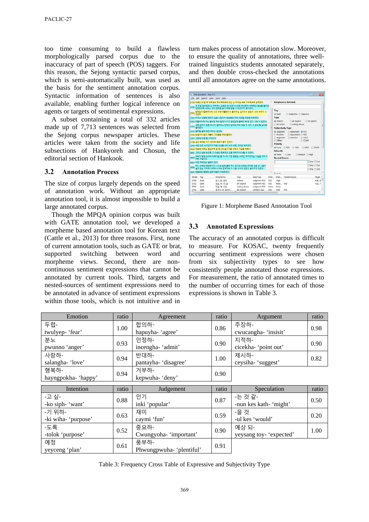too time consuming to build a flawless morphologically parsed corpus due to the inaccuracy of part of speech (POS) taggers. For this reason, the Sejong syntactic parsed corpus, which is semi-automatically built, was used as the basis for the sentiment annotation corpus. Syntactic information of sentences is also available, enabling further logical inference on agents or targets of sentimental expressions.

A subset containing a total of 332 articles made up of 7,713 sentences was selected from the Sejong corpus newspaper articles. These articles were taken from the society and life subsections of Hankyoreh and Chosun, the editorial section of Hankook.

#### **3.2 Annotation Process**

The size of corpus largely depends on the speed of annotation work. Without an appropriate annotation tool, it is almost impossible to build a large annotated corpus.

Though the MPQA opinion corpus was built with GATE annotation tool, we developed a morpheme based annotation tool for Korean text (Cattle et al., 2013) for three reasons. First, none of current annotation tools, such as GATE or brat, supported switching between word and morpheme views. Second, there are noncontinuous sentiment expressions that cannot be annotated by current tools. Third, targets and nested-sources of sentiment expressions need to be annotated in advance of sentiment expressions within those tools, which is not intuitive and in

turn makes process of annotation slow. Moreover, to ensure the quality of annotations, three welltrained linguistics students annotated separately, and then double cross-checked the annotations until all annotators agree on the same annotations.

|                                                                                                                                                                           | <sup>8</sup> Text Annotator - han-111 |                                                                                                  |                                |                             |                    |                                                                                                              |                                | <b>North College</b> |  |  |
|---------------------------------------------------------------------------------------------------------------------------------------------------------------------------|---------------------------------------|--------------------------------------------------------------------------------------------------|--------------------------------|-----------------------------|--------------------|--------------------------------------------------------------------------------------------------------------|--------------------------------|----------------------|--|--|
|                                                                                                                                                                           |                                       | File Edit Search View Tools Help                                                                 |                                |                             |                    |                                                                                                              |                                |                      |  |  |
| 3789 바흐는 15살 때 북동일의 위네부트코에 있는 성 미하엘 교회 부속학교에 입학했다.                                                                                                                        |                                       |                                                                                                  |                                |                             |                    |                                                                                                              | <b>Morphemes Selected</b>      |                      |  |  |
|                                                                                                                                                                           |                                       | 그 무렵 함부르크 성 카타리나 교회의 명 오르가니스트 라인전이 세계적인 명성을 펼치고<br>8790 piosone 바흐는 그의 연주를 듣기 위해 곧잘 그 연곳까지 걸어갔다. |                                |                             |                    |                                                                                                              |                                |                      |  |  |
| 8791 이언다                                                                                                                                                                  |                                       | 언제인가 항부르크에 너무 오래 대응했다가 돌아오는 길이어서 응돈이 거의 바닥이 나                                                    |                                |                             |                    | Tag<br>W Seed                                                                                                | C Subjective C Objective       |                      |  |  |
|                                                                                                                                                                           |                                       |                                                                                                  |                                |                             |                    | Type                                                                                                         |                                |                      |  |  |
| 8792 퍼구나 도중에 갑자기 심한 시장기가 영습해와 거의 쓰러질 지경에 이르렀다.<br>2703 비통거리며 이노 음식점 처마 일에 다가가 절망감에 활싸인 채 집 없이 기대 서 있었다.<br>그때 간자기 찾은 하나가 열리더니 안에서 찾아와 머리 부분 두 개가 그 앞에 획 날아와<br>8794 발어졌다. |                                       |                                                                                                  |                                |                             |                    | dir-explicit<br>@ dir-speech<br>@ indirect<br>li dir-action<br>c) writing-device<br><b>Subjectivity Type</b> |                                |                      |  |  |
|                                                                                                                                                                           |                                       |                                                                                                  |                                |                             |                    |                                                                                                              |                                |                      |  |  |
|                                                                                                                                                                           |                                       |                                                                                                  |                                |                             |                    |                                                                                                              |                                |                      |  |  |
|                                                                                                                                                                           | 8795 음주할 앞에 제면 딱위는 없었다.               |                                                                                                  |                                |                             |                    | a Judgment                                                                                                   | Agreement @ POS                |                      |  |  |
|                                                                                                                                                                           |                                       | 8796 양설이지 않고 재빨리 그것들을 주워 들었다.                                                                    |                                |                             |                    | <b>E</b> Emotion                                                                                             | C Speculation C NEG            |                      |  |  |
|                                                                                                                                                                           | 3707 그런데 이게 될 가적인가!                   |                                                                                                  |                                |                             |                    | Argument                                                                                                     | C Intention<br><b>E NEUT</b>   |                      |  |  |
|                                                                                                                                                                           |                                       | 8798 생선 속에는 각기 만마크 금화가 들어 있었다.                                                                   |                                |                             |                    | (F) Others<br>@ COMP                                                                                         |                                |                      |  |  |
|                                                                                                                                                                           |                                       | 3799 식당 안의 누구인가가 치진 소년을 내다 보고 비분 고마운 배려였다.                                                       |                                |                             |                    | Polarity                                                                                                     |                                |                      |  |  |
|                                                                                                                                                                           |                                       | 8800 덕분에 바흐는 경상으로 한 접시의 물고기를 사먹고 기운을 차렸다.                                                        |                                |                             |                    |                                                                                                              | None E POS E NEG E NEUT E COMP |                      |  |  |
|                                                                                                                                                                           |                                       | 8801 그리고 남은 돈으로 그 다음의 항부르크 길을 편하게 다녀올 수 있었다.                                                     |                                |                             |                    | letensity                                                                                                    |                                |                      |  |  |
|                                                                                                                                                                           |                                       | 바흐가 단대 러그의 작곡가일 본 아니라 가장 충중한 오르가 주자였다는 사실은 이미 다                                                  |                                |                             |                    | <b>B</b> None                                                                                                | C Low<br>Medium @ High         |                      |  |  |
|                                                                                                                                                                           | 8802 아는 사실이다.                         |                                                                                                  |                                |                             |                    | <b>Nested-Source</b>                                                                                         |                                |                      |  |  |
|                                                                                                                                                                           | sant 이런 재미인는 일하가 있다.                  |                                                                                                  |                                |                             |                    |                                                                                                              |                                | Imp Out              |  |  |
|                                                                                                                                                                           |                                       | 어느 오르간 영연주가가 나그네 길에 올라 역사 최고의 오르간 주자로 소문 난 사람이                                                   |                                |                             |                    |                                                                                                              |                                | lima Cut             |  |  |
|                                                                                                                                                                           |                                       | 살고 있는 거리에 이르러 나그네 연주자와 그 사람 사이에 경면이 벌어차게 되었다.                                                    |                                |                             |                    |                                                                                                              |                                | Imp Out              |  |  |
|                                                                                                                                                                           |                                       |                                                                                                  |                                |                             |                    | $Y = -1$                                                                                                     |                                |                      |  |  |
|                                                                                                                                                                           |                                       | aans 한동안은 명령한 실력 대결이 지속되었다.                                                                      |                                |                             |                    |                                                                                                              |                                |                      |  |  |
| SentiD                                                                                                                                                                    | Tag                                   | Morphemes.                                                                                       | Type                           | Subj-Type                   | Polar              |                                                                                                              | Inten., Nested-Source          | Target               |  |  |
| 8788                                                                                                                                                                      | Seed                                  | 전사, 와, 말력                                                                                        | indirect                       | Judgment-POS                | POS                | High                                                                                                         |                                | <b>UIS 9</b>         |  |  |
| 8792                                                                                                                                                                      | Seed                                  | 영습, 하, 아, 오                                                                                      | dir-explicit                   | Judgment-NEG                | <b>NEG</b>         | Medi                                                                                                         | Imp                            | 시장, 기                |  |  |
| 8804<br>8707<br>8793                                                                                                                                                      | Seed                                  | 지경, 에, 이르<br>정착건 여, 회싸이                                                                          | writing-device<br>dir-explicit | Judgment-POS<br>Emotion-NEG | None<br><b>NEG</b> | None                                                                                                         |                                |                      |  |  |

Figure 1: Morpheme Based Annotation Tool

#### **3.3 Annotated Expressions**

The accuracy of an annotated corpus is difficult to measure. For KOSAC, twenty frequently occurring sentiment expressions were chosen from six subjectivity types to see how consistently people annotated those expressions. For measurement, the ratio of annotated times to the number of occurring times for each of those expressions is shown in Table 3.

| Emotion                       | ratio                                | Agreement                      | ratio | Argument                          | ratio |
|-------------------------------|--------------------------------------|--------------------------------|-------|-----------------------------------|-------|
| 두렵-<br>twulyep- 'fear'        | 1.00                                 | 합의하-<br>hapuyha- 'agree'       | 0.86  | 주장하-<br>cwucangha- 'insisit'      | 0.98  |
| 분노<br>pwunno 'anger'          | 0.93                                 | 인정하-<br>incengha-'admit'       | 0.90  | 지적하-<br>cicekha-'point out'       | 0.90  |
| 사랑하-<br>salangha- 'love'      | 반대하-<br>0.94<br>pantayha- 'disagree' |                                | 1.00  | 제시하-<br>ceysiha- 'suggest'        | 0.82  |
| 행복하-<br>hayngpokha-'happy'    | 0.94                                 | 거부하-<br>kepwuha- 'deny'        | 0.90  |                                   |       |
|                               |                                      |                                |       |                                   |       |
| Intention                     | ratio                                | Judgement                      | ratio | Speculation                       | ratio |
| -고 싶-<br>-ko siph- 'want'     | 0.88                                 | 인기<br>inki 'popular'           | 0.87  | -는 것 같-<br>-nun kes kath- 'might' | 0.50  |
| -기 위하-<br>-ki wiha- 'purpose' | 0.63                                 | 재미<br>caymi 'fun'              | 0.59  | -을 것<br>-ul kes 'would'           | 0.20  |
| -도록<br>-tolok 'purpose'       | 0.52                                 | 중요하-<br>Cwungyoha- 'important' | 0.90  | 예상 되-<br>yeysang toy- 'expected'  | 1.00  |

Table 3: Frequency Cross Table of Expressive and Subjectivity Type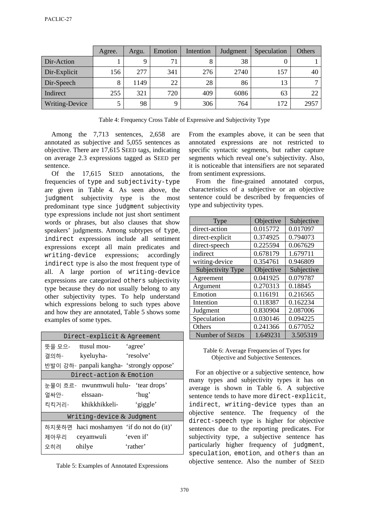|                | Agree. | Argu. | Emotion | Intention | Judgment | Speculation | Others       |
|----------------|--------|-------|---------|-----------|----------|-------------|--------------|
| Dir-Action     |        | Q     | 71      |           | 38       |             |              |
| Dir-Explicit   | 156    | 277   | 341     | 276       | 2740     | 157         | 40           |
| Dir-Speech     | 8      | 1149  | 22      | 28        | 86       | 13          | $\mathbf{r}$ |
| Indirect       | 255    | 321   | 720     | 409       | 6086     | 63          | 22           |
| Writing-Device |        | 98    |         | 306       | 764      | 172         | 2957         |

Table 4: Frequency Cross Table of Expressive and Subjectivity Type

Among the 7,713 sentences, 2,658 are annotated as subjective and 5,055 sentences as objective. There are 17,615 SEED tags, indicating on average 2.3 expressions tagged as SEED per sentence.

Of the 17,615 SEED annotations, the frequencies of type and subjectivity-type are given in Table 4. As seen above, the judgment subjectivity type is the most predominant type since judgment subjectivity type expressions include not just short sentiment words or phrases, but also clauses that show speakers' judgments. Among subtypes of type, indirect expressions include all sentiment expressions except all main predicates and writing-device expressions; accordingly indirect type is also the most frequent type of all. A large portion of writing-device expressions are categorized others subjectivity type because they do not usually belong to any other subjectivity types. To help understand which expressions belong to such types above and how they are annotated, Table 5 shows some examples of some types.

| Direct-explicit $&$ Agreement |                                          |                                           |  |  |  |  |  |
|-------------------------------|------------------------------------------|-------------------------------------------|--|--|--|--|--|
|                               | 뜻을 모으- ttusul mou-                       | 'agree'                                   |  |  |  |  |  |
|                               | 결의하- kyeluyha- 'resolve'                 |                                           |  |  |  |  |  |
|                               |                                          | 반발이 강하- panpali kangha- 'strongly oppose' |  |  |  |  |  |
|                               | Direct-action $&$ Emotion                |                                           |  |  |  |  |  |
|                               | 눈물이 흐르- nwunmwuli hulu- 'tear drops'     |                                           |  |  |  |  |  |
|                               | 얼싸안- elssaan-                            | 'hug'                                     |  |  |  |  |  |
|                               | 킥킥거리- khikkhikkeli-                      | 'giggle'                                  |  |  |  |  |  |
| Writing-device $&$ Judgment   |                                          |                                           |  |  |  |  |  |
|                               | 하지못하면 haci moshamyen 'if do not do (it)' |                                           |  |  |  |  |  |
|                               | 제아무리 ceyamwuli                           | 'even if'                                 |  |  |  |  |  |
| 오히려                           | ohilye                                   | 'rather'                                  |  |  |  |  |  |

Table 5: Examples of Annotated Expressions

From the examples above, it can be seen that annotated expressions are not restricted to specific syntactic segments, but rather capture segments which reveal one's subjectivity. Also, it is noticeable that intensifiers are not separated from sentiment expressions.

From the fine-grained annotated corpus, characteristics of a subjective or an objective sentence could be described by frequencies of type and subjectivity types.

| Type              | Objective | Subjective |
|-------------------|-----------|------------|
| direct-action     | 0.015772  | 0.017097   |
| direct-explicit   | 0.374925  | 0.794073   |
| direct-speech     | 0.225594  | 0.067629   |
| indirect          | 0.678179  | 1.679711   |
| writing-device    | 0.354761  | 0.946809   |
| Subjectivity Type | Objective | Subjective |
| Agreement         | 0.041925  | 0.079787   |
| Argument          | 0.270313  | 0.18845    |
| Emotion           | 0.116191  | 0.216565   |
| Intention         | 0.118387  | 0.162234   |
| Judgment          | 0.830904  | 2.087006   |
| Speculation       | 0.030146  | 0.094225   |
| Others            | 0.241366  | 0.677052   |
| Number of SEEDs   | 1.649231  | 3.505319   |

Table 6: Average Frequencies of Types for Objective and Subjective Sentences.

 For an objective or a subjective sentence, how many types and subjectivity types it has on average is shown in Table 6. A subjective sentence tends to have more direct-explicit, indirect, writing-device types than an objective sentence. The frequency of the direct-speech type is higher for objective sentences due to the reporting predicates. For subjectivity type, a subjective sentence has particularly higher frequency of judgment, speculation, emotion, and others than an objective sentence. Also the number of SEED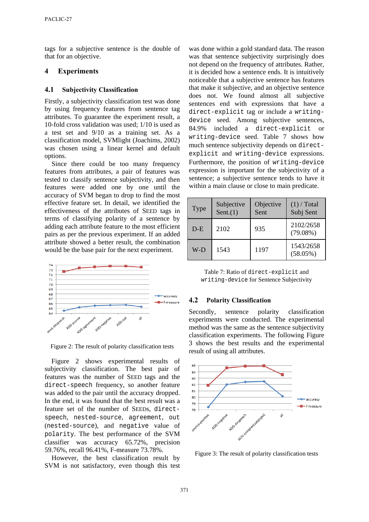tags for a subjective sentence is the double of that for an objective.

### **4 Experiments**

#### **4.1 Subjectivity Classification**

Firstly, a subjectivity classification test was done by using frequency features from sentence tag attributes. To guarantee the experiment result, a 10-fold cross validation was used; 1/10 is used as a test set and 9/10 as a training set. As a classification model, SVMlight (Joachims, 2002) was chosen using a linear kernel and default options.

Since there could be too many frequency features from attributes, a pair of features was tested to classify sentence subjectivity, and then features were added one by one until the accuracy of SVM began to drop to find the most effective feature set. In detail, we identified the effectiveness of the attributes of SEED tags in terms of classifying polarity of a sentence by adding each attribute feature to the most efficient pairs as per the previous experiment. If an added attribute showed a better result, the combination would be the base pair for the next experiment.



Figure 2: The result of polarity classification tests

 Figure 2 shows experimental results of subjectivity classification. The best pair of features was the number of SEED tags and the direct-speech frequency, so another feature was added to the pair until the accuracy dropped. In the end, it was found that the best result was a feature set of the number of SEEDs, directspeech, nested-source, agreement, out (nested-source), and negative value of polarity. The best performance of the SVM classifier was accuracy 65.72%, precision 59.76%, recall 96.41%, F-measure 73.78%.

However, the best classification result by SVM is not satisfactory, even though this test

was done within a gold standard data. The reason was that sentence subjectivity surprisingly does not depend on the frequency of attributes. Rather, it is decided how a sentence ends. It is intuitively noticeable that a subjective sentence has features that make it subjective, and an objective sentence does not. We found almost all subjective sentences end with expressions that have a direct-explicit tag or include a writingdevice seed. Among subjective sentences, 84.9% included a direct-explicit or writing-device seed. Table 7 shows how much sentence subjectivity depends on directexplicit and writing-device expressions. Furthermore, the position of writing-device expression is important for the subjectivity of a sentence; a subjective sentence tends to have it within a main clause or close to main predicate.

| Type  | Subjective<br>Sent. $(1)$ | Objective<br>Sent | $(1)$ / Total<br>Subj Sent |
|-------|---------------------------|-------------------|----------------------------|
| $D-E$ | 2102                      | 935               | 2102/2658<br>$(79.08\%)$   |
| W-D   | 1543                      | 1197              | 1543/2658<br>$(58.05\%)$   |

Table 7: Ratio of direct-explicit and writing-device for Sentence Subjectivity

#### **4.2 Polarity Classification**

Secondly, sentence polarity classification experiments were conducted. The experimental method was the same as the sentence subjectivity classification experiments. The following Figure 3 shows the best results and the experimental result of using all attributes.



Figure 3: The result of polarity classification tests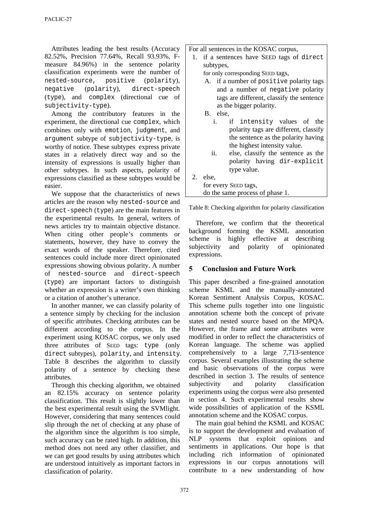Attributes leading the best results (Accuracy 82.52%, Precision 77.64%, Recall 93.93%, Fmeasure 84.96%) in the sentence polarity classification experiments were the number of nested-source, positive (polarity), negative (polarity), direct-speech (type), and complex (directional cue of subjectivity-type).

Among the contributory features in the experiment, the directional cue complex, which combines only with emotion, judgment, and argument subtype of subjectivity-type, is worthy of notice. These subtypes express private states in a relatively direct way and so the intensity of expressions is usually higher than other subtypes. In such aspects, polarity of expressions classified as these subtypes would be easier.

We suppose that the characteristics of news articles are the reason why nested-source and direct-speech (type) are the main features in the experimental results. In general, writers of news articles try to maintain objective distance. When citing other people's comments or statements, however, they have to convey the exact words of the speaker. Therefore, cited sentences could include more direct opinionated expressions showing obvious polarity. A number of nested-source and direct-speech (type) are important factors to distinguish whether an expression is a writer's own thinking or a citation of another's utterance.

In another manner, we can classify polarity of a sentence simply by checking for the inclusion of specific attributes. Checking attributes can be different according to the corpus. In the experiment using KOSAC corpus, we only used three attributes of SEED tags: type (only direct subtypes), polarity, and intensity. Table 8 describes the algorithm to classify polarity of a sentence by checking these attributes.

Through this checking algorithm, we obtained an 82.15% accuracy on sentence polarity classification. This result is slightly lower than the best experimental result using the SVMlight. However, considering that many sentences could slip through the net of checking at any phase of the algorithm since the algorithm is too simple, such accuracy can be rated high. In addition, this method does not need any other classifier, and we can get good results by using attributes which are understood intuitively as important factors in classification of polarity.

For all sentences in the KOSAC corpus,

1. if a sentences have SEED tags of direct subtypes,

for only corresponding SEED tags,

- A. if a number of positive polarity tags and a number of negative polarity tags are different, classify the sentence as the bigger polarity.
- B. else,
	- i. if intensity values of the polarity tags are different, classify the sentence as the polarity having the highest intensity value.
	- ii. else, classify the sentence as the polarity having dir-explicit type value.
- 2. else, for every SEED tags, do the same process of phase 1.

Table 8: Checking algorithm for polarity classification

 Therefore, we confirm that the theoretical background forming the KSML annotation scheme is highly effective at describing subjectivity and polarity of opinionated expressions.

## **5 Conclusion and Future Work**

This paper described a fine-grained annotation scheme KSML and the manually-annotated Korean Sentiment Analysis Corpus, KOSAC. This scheme pulls together into one linguistic annotation scheme both the concept of private states and nested source based on the MPQA. However, the frame and some attributes were modified in order to reflect the characteristics of Korean language. The scheme was applied comprehensively to a large 7,713-sentence corpus. Several examples illustrating the scheme and basic observations of the corpus were described in section 3. The results of sentence subjectivity and polarity classification experiments using the corpus were also presented in section 4. Such experimental results show wide possibilities of application of the KSML annotation scheme and the KOSAC corpus.

The main goal behind the KSML and KOSAC is to support the development and evaluation of NLP systems that exploit opinions and sentiments in applications. Our hope is that including rich information of opinionated expressions in our corpus annotations will contribute to a new understanding of how